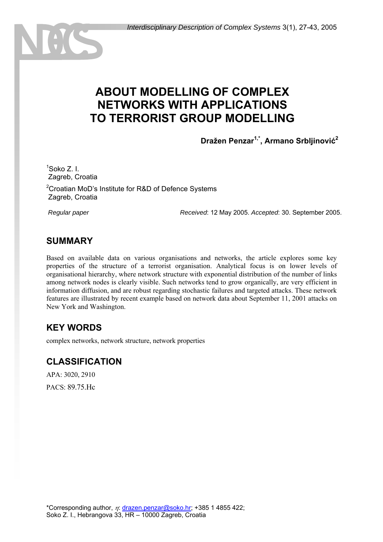# **ABOUT MODELLING OF COMPLEX NETWORKS WITH APPLICATIONS TO TERRORIST GROUP MODELLING**

**Dražen Penzar1,\*, Armano Srbljinović<sup>2</sup>**

1 Soko Z. I. Zagreb, Croatia

 $\left(\frac{1}{2}\right)$ 

<sup>2</sup> Croatian MoD's Institute for R&D of Defence Systems Zagreb, Croatia

 *Regular paper Received*: 12 May 2005. *Accepted*: 30. September 2005.

#### **SUMMARY**

Based on available data on various organisations and networks, the article explores some key properties of the structure of a terrorist organisation. Analytical focus is on lower levels of organisational hierarchy, where network structure with exponential distribution of the number of links among network nodes is clearly visible. Such networks tend to grow organically, are very efficient in information diffusion, and are robust regarding stochastic failures and targeted attacks. These network features are illustrated by recent example based on network data about September 11, 2001 attacks on New York and Washington.

#### **KEY WORDS**

complex networks, network structure, network properties

#### **CLASSIFICATION**

APA: 3020, 2910 PACS: 89.75.Hc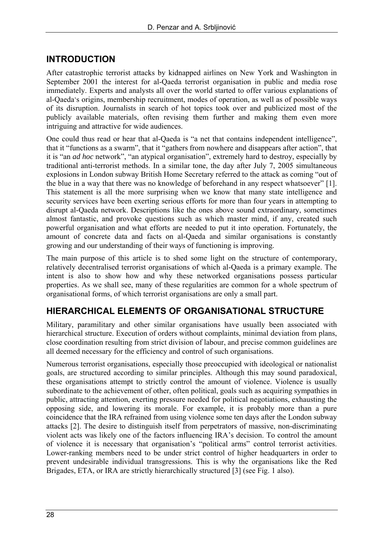### **INTRODUCTION**

After catastrophic terrorist attacks by kidnapped airlines on New York and Washington in September 2001 the interest for al-Qaeda terrorist organisation in public and media rose immediately. Experts and analysts all over the world started to offer various explanations of al-Qaeda's origins, membership recruitment, modes of operation, as well as of possible ways of its disruption. Journalists in search of hot topics took over and publicized most of the publicly available materials, often revising them further and making them even more intriguing and attractive for wide audiences.

One could thus read or hear that al-Qaeda is "a net that contains independent intelligence", that it "functions as a swarm", that it "gathers from nowhere and disappears after action", that it is "an *ad hoc* network", "an atypical organisation", extremely hard to destroy, especially by traditional anti-terrorist methods. In a similar tone, the day after July 7, 2005 simultaneous explosions in London subway British Home Secretary referred to the attack as coming "out of the blue in a way that there was no knowledge of beforehand in any respect whatsoever" [1]. This statement is all the more surprising when we know that many state intelligence and security services have been exerting serious efforts for more than four years in attempting to disrupt al-Qaeda network. Descriptions like the ones above sound extraordinary, sometimes almost fantastic, and provoke questions such as which master mind, if any, created such powerful organisation and what efforts are needed to put it into operation. Fortunately, the amount of concrete data and facts on al-Qaeda and similar organisations is constantly growing and our understanding of their ways of functioning is improving.

The main purpose of this article is to shed some light on the structure of contemporary, relatively decentralised terrorist organisations of which al-Qaeda is a primary example. The intent is also to show how and why these networked organisations possess particular properties. As we shall see, many of these regularities are common for a whole spectrum of organisational forms, of which terrorist organisations are only a small part.

# **HIERARCHICAL ELEMENTS OF ORGANISATIONAL STRUCTURE**

Military, paramilitary and other similar organisations have usually been associated with hierarchical structure. Execution of orders without complaints, minimal deviation from plans, close coordination resulting from strict division of labour, and precise common guidelines are all deemed necessary for the efficiency and control of such organisations.

Numerous terrorist organisations, especially those preoccupied with ideological or nationalist goals, are structured according to similar principles. Although this may sound paradoxical, these organisations attempt to strictly control the amount of violence. Violence is usually subordinate to the achievement of other, often political, goals such as acquiring sympathies in public, attracting attention, exerting pressure needed for political negotiations, exhausting the opposing side, and lowering its morale. For example, it is probably more than a pure coincidence that the IRA refrained from using violence some ten days after the London subway attacks [2]. The desire to distinguish itself from perpetrators of massive, non-discriminating violent acts was likely one of the factors influencing IRA's decision. To control the amount of violence it is necessary that organisation's "political arms" control terrorist activities. Lower-ranking members need to be under strict control of higher headquarters in order to prevent undesirable individual transgressions. This is why the organisations like the Red Brigades, ETA, or IRA are strictly hierarchically structured [3] (see Fig. 1 also).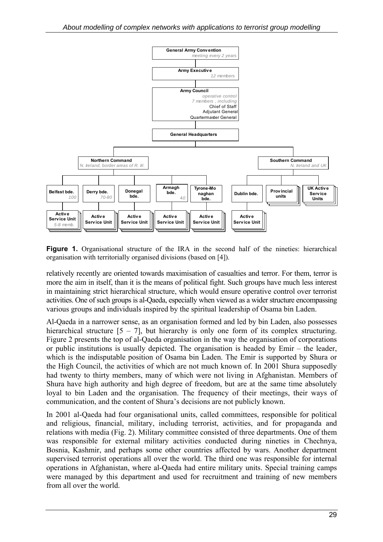

**Figure 1.** Organisational structure of the IRA in the second half of the nineties: hierarchical organisation with territorially organised divisions (based on [4]).

relatively recently are oriented towards maximisation of casualties and terror. For them, terror is more the aim in itself, than it is the means of political fight. Such groups have much less interest in maintaining strict hierarchical structure, which would ensure operative control over terrorist activities. One of such groups is al-Qaeda, especially when viewed as a wider structure encompassing various groups and individuals inspired by the spiritual leadership of Osama bin Laden.

Al-Qaeda in a narrower sense, as an organisation formed and led by bin Laden, also possesses hierarchical structure  $[5 - 7]$ , but hierarchy is only one form of its complex structuring. Figure 2 presents the top of al-Qaeda organisation in the way the organisation of corporations or public institutions is usually depicted. The organisation is headed by Emir – the leader, which is the indisputable position of Osama bin Laden. The Emir is supported by Shura or the High Council, the activities of which are not much known of. In 2001 Shura supposedly had twenty to thirty members, many of which were not living in Afghanistan. Members of Shura have high authority and high degree of freedom, but are at the same time absolutely loyal to bin Laden and the organisation. The frequency of their meetings, their ways of communication, and the content of Shura's decisions are not publicly known.

In 2001 al-Qaeda had four organisational units, called committees, responsible for political and religious, financial, military, including terrorist, activities, and for propaganda and relations with media (Fig. 2). Military committee consisted of three departments. One of them was responsible for external military activities conducted during nineties in Chechnya, Bosnia, Kashmir, and perhaps some other countries affected by wars. Another department supervised terrorist operations all over the world. The third one was responsible for internal operations in Afghanistan, where al-Qaeda had entire military units. Special training camps were managed by this department and used for recruitment and training of new members from all over the world.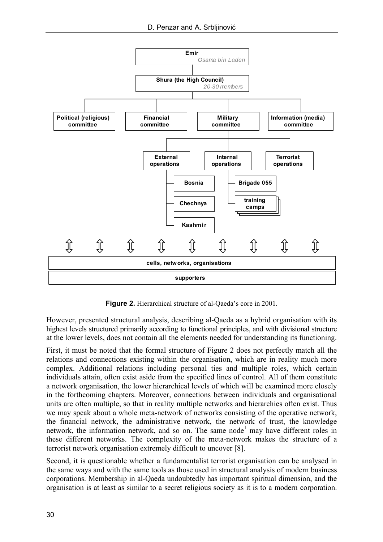

**Figure 2.** Hierarchical structure of al-Qaeda's core in 2001.

However, presented structural analysis, describing al-Qaeda as a hybrid organisation with its highest levels structured primarily according to functional principles, and with divisional structure at the lower levels, does not contain all the elements needed for understanding its functioning.

First, it must be noted that the formal structure of Figure 2 does not perfectly match all the relations and connections existing within the organisation, which are in reality much more complex. Additional relations including personal ties and multiple roles, which certain individuals attain, often exist aside from the specified lines of control. All of them constitute a network organisation, the lower hierarchical levels of which will be examined more closely in the forthcoming chapters. Moreover, connections between individuals and organisational units are often multiple, so that in reality multiple networks and hierarchies often exist. Thus we may speak about a whole meta-network of networks consisting of the operative network, the financial network, the administrative network, the network of trust, the knowledge network, the information network, and so on. The same node<sup>1</sup> may have different roles in these different networks. The complexity of the meta-network makes the structure of a terrorist network organisation extremely difficult to uncover [8].

Second, it is questionable whether a fundamentalist terrorist organisation can be analysed in the same ways and with the same tools as those used in structural analysis of modern business corporations. Membership in al-Qaeda undoubtedly has important spiritual dimension, and the organisation is at least as similar to a secret religious society as it is to a modern corporation.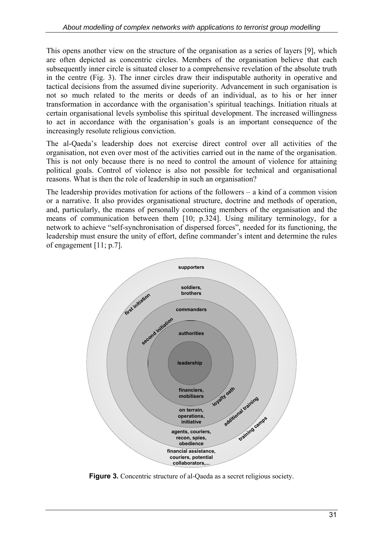This opens another view on the structure of the organisation as a series of layers [9], which are often depicted as concentric circles. Members of the organisation believe that each subsequently inner circle is situated closer to a comprehensive revelation of the absolute truth in the centre (Fig. 3). The inner circles draw their indisputable authority in operative and tactical decisions from the assumed divine superiority. Advancement in such organisation is not so much related to the merits or deeds of an individual, as to his or her inner transformation in accordance with the organisation's spiritual teachings. Initiation rituals at certain organisational levels symbolise this spiritual development. The increased willingness to act in accordance with the organisation's goals is an important consequence of the increasingly resolute religious conviction.

The al-Qaeda's leadership does not exercise direct control over all activities of the organisation, not even over most of the activities carried out in the name of the organisation. This is not only because there is no need to control the amount of violence for attaining political goals. Control of violence is also not possible for technical and organisational reasons. What is then the role of leadership in such an organisation?

The leadership provides motivation for actions of the followers – a kind of a common vision or a narrative. It also provides organisational structure, doctrine and methods of operation, and, particularly, the means of personally connecting members of the organisation and the means of communication between them [10; p.324]. Using military terminology, for a network to achieve "self-synchronisation of dispersed forces", needed for its functioning, the leadership must ensure the unity of effort, define commander's intent and determine the rules of engagement [11; p.7].



**Figure 3.** Concentric structure of al-Qaeda as a secret religious society.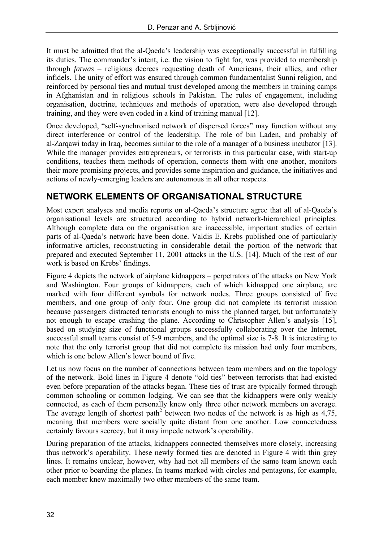It must be admitted that the al-Qaeda's leadership was exceptionally successful in fulfilling its duties. The commander's intent, i.e. the vision to fight for, was provided to membership through *fatwas* – religious decrees requesting death of Americans, their allies, and other infidels. The unity of effort was ensured through common fundamentalist Sunni religion, and reinforced by personal ties and mutual trust developed among the members in training camps in Afghanistan and in religious schools in Pakistan. The rules of engagement, including organisation, doctrine, techniques and methods of operation, were also developed through training, and they were even coded in a kind of training manual [12].

Once developed, "self-synchronised network of dispersed forces" may function without any direct interference or control of the leadership. The role of bin Laden, and probably of al-Zarqawi today in Iraq, becomes similar to the role of a manager of a business incubator [13]. While the manager provides entrepreneurs, or terrorists in this particular case, with start-up conditions, teaches them methods of operation, connects them with one another, monitors their more promising projects, and provides some inspiration and guidance, the initiatives and actions of newly-emerging leaders are autonomous in all other respects.

### **NETWORK ELEMENTS OF ORGANISATIONAL STRUCTURE**

Most expert analyses and media reports on al-Qaeda's structure agree that all of al-Qaeda's organisational levels are structured according to hybrid network-hierarchical principles. Although complete data on the organisation are inaccessible, important studies of certain parts of al-Qaeda's network have been done. Valdis E. Krebs published one of particularly informative articles, reconstructing in considerable detail the portion of the network that prepared and executed September 11, 2001 attacks in the U.S. [14]. Much of the rest of our work is based on Krebs' findings.

Figure 4 depicts the network of airplane kidnappers – perpetrators of the attacks on New York and Washington. Four groups of kidnappers, each of which kidnapped one airplane, are marked with four different symbols for network nodes. Three groups consisted of five members, and one group of only four. One group did not complete its terrorist mission because passengers distracted terrorists enough to miss the planned target, but unfortunately not enough to escape crashing the plane. According to Christopher Allen's analysis [15], based on studying size of functional groups successfully collaborating over the Internet, successful small teams consist of 5-9 members, and the optimal size is 7-8. It is interesting to note that the only terrorist group that did not complete its mission had only four members, which is one below Allen's lower bound of five.

Let us now focus on the number of connections between team members and on the topology of the network. Bold lines in Figure 4 denote "old ties" between terrorists that had existed even before preparation of the attacks began. These ties of trust are typically formed through common schooling or common lodging. We can see that the kidnappers were only weakly connected, as each of them personally knew only three other network members on average. The average length of shortest path<sup>2</sup> between two nodes of the network is as high as  $4,75$ , meaning that members were socially quite distant from one another. Low connectedness certainly favours secrecy, but it may impede network's operability.

During preparation of the attacks, kidnappers connected themselves more closely, increasing thus network's operability. These newly formed ties are denoted in Figure 4 with thin grey lines. It remains unclear, however, why had not all members of the same team known each other prior to boarding the planes. In teams marked with circles and pentagons, for example, each member knew maximally two other members of the same team.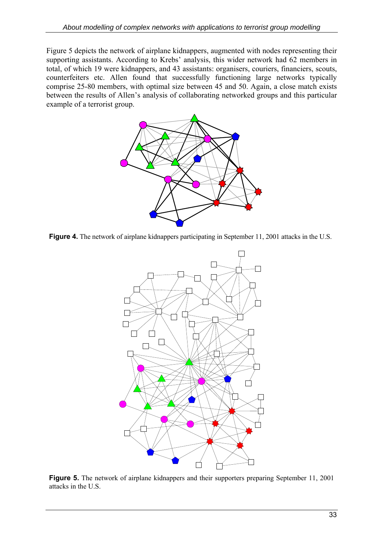Figure 5 depicts the network of airplane kidnappers, augmented with nodes representing their supporting assistants. According to Krebs' analysis, this wider network had 62 members in total, of which 19 were kidnappers, and 43 assistants: organisers, couriers, financiers, scouts, counterfeiters etc. Allen found that successfully functioning large networks typically comprise 25-80 members, with optimal size between 45 and 50. Again, a close match exists between the results of Allen's analysis of collaborating networked groups and this particular example of a terrorist group.



**Figure 4.** The network of airplane kidnappers participating in September 11, 2001 attacks in the U.S.



**Figure 5.** The network of airplane kidnappers and their supporters preparing September 11, 2001 attacks in the U.S.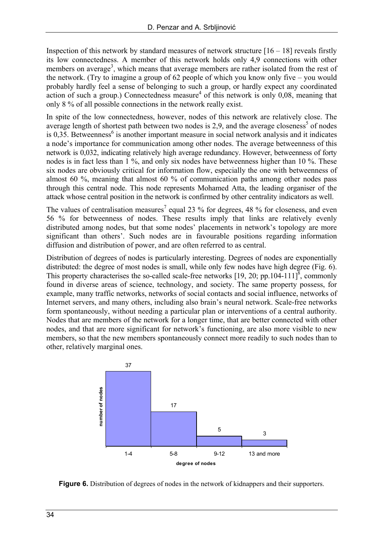Inspection of this network by standard measures of network structure  $[16 - 18]$  reveals firstly its low connectedness. A member of this network holds only 4,9 connections with other members on average<sup>3</sup>, which means that average members are rather isolated from the rest of the network. (Try to imagine a group of 62 people of which you know only five – you would probably hardly feel a sense of belonging to such a group, or hardly expect any coordinated  $\alpha$  action of such a group.) Connectedness measure<sup>4</sup> of this network is only 0,08, meaning that only 8 % of all possible connections in the network really exist.

In spite of the low connectedness, however, nodes of this network are relatively close. The average length of shortest path between two nodes is 2,9, and the average closeness<sup>5</sup> of nodes is  $0,35$ . Betweenness<sup>6</sup> is another important measure in social network analysis and it indicates a node's importance for communication among other nodes. The average betweenness of this network is 0,032, indicating relatively high average redundancy. However, betweenness of forty nodes is in fact less than 1 %, and only six nodes have betweenness higher than 10 %. These six nodes are obviously critical for information flow, especially the one with betweenness of almost 60 %, meaning that almost 60 % of communication paths among other nodes pass through this central node. This node represents Mohamed Atta, the leading organiser of the attack whose central position in the network is confirmed by other centrality indicators as well.

The values of centralisation measures<sup>7</sup> equal 23 % for degrees, 48 % for closeness, and even 56 % for betweenness of nodes. These results imply that links are relatively evenly distributed among nodes, but that some nodes' placements in network's topology are more significant than others'. Such nodes are in favourable positions regarding information diffusion and distribution of power, and are often referred to as central.

Distribution of degrees of nodes is particularly interesting. Degrees of nodes are exponentially distributed: the degree of most nodes is small, while only few nodes have high degree (Fig. 6). This property characterises the so-called scale-free networks [19, 20; pp.104-111]<sup>8</sup>, commonly found in diverse areas of science, technology, and society. The same property possess, for example, many traffic networks, networks of social contacts and social influence, networks of Internet servers, and many others, including also brain's neural network. Scale-free networks form spontaneously, without needing a particular plan or interventions of a central authority. Nodes that are members of the network for a longer time, that are better connected with other nodes, and that are more significant for network's functioning, are also more visible to new members, so that the new members spontaneously connect more readily to such nodes than to other, relatively marginal ones.



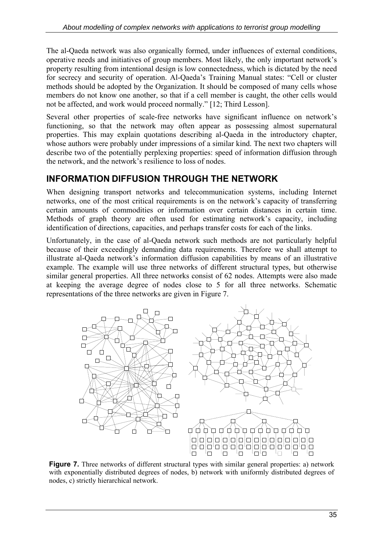The al-Qaeda network was also organically formed, under influences of external conditions, operative needs and initiatives of group members. Most likely, the only important network's property resulting from intentional design is low connectedness, which is dictated by the need for secrecy and security of operation. Al-Qaeda's Training Manual states: "Cell or cluster methods should be adopted by the Organization. It should be composed of many cells whose members do not know one another, so that if a cell member is caught, the other cells would not be affected, and work would proceed normally." [12; Third Lesson].

Several other properties of scale-free networks have significant influence on network's functioning, so that the network may often appear as possessing almost supernatural properties. This may explain quotations describing al-Qaeda in the introductory chapter, whose authors were probably under impressions of a similar kind. The next two chapters will describe two of the potentially perplexing properties: speed of information diffusion through the network, and the network's resilience to loss of nodes.

# **INFORMATION DIFFUSION THROUGH THE NETWORK**

When designing transport networks and telecommunication systems, including Internet networks, one of the most critical requirements is on the network's capacity of transferring certain amounts of commodities or information over certain distances in certain time. Methods of graph theory are often used for estimating network's capacity, including identification of directions, capacities, and perhaps transfer costs for each of the links.

Unfortunately, in the case of al-Qaeda network such methods are not particularly helpful because of their exceedingly demanding data requirements. Therefore we shall attempt to illustrate al-Qaeda network's information diffusion capabilities by means of an illustrative example. The example will use three networks of different structural types, but otherwise similar general properties. All three networks consist of 62 nodes. Attempts were also made at keeping the average degree of nodes close to 5 for all three networks. Schematic representations of the three networks are given in Figure 7.



**Figure 7.** Three networks of different structural types with similar general properties: a) network with exponentially distributed degrees of nodes, b) network with uniformly distributed degrees of nodes, c) strictly hierarchical network.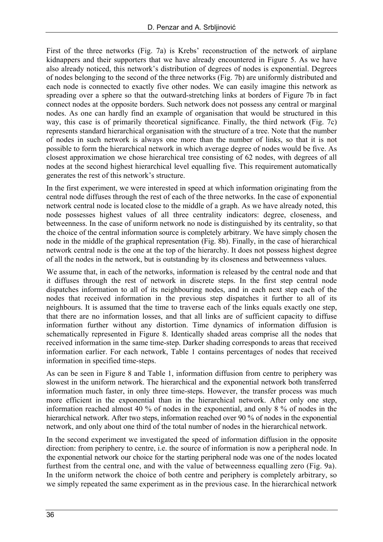First of the three networks (Fig. 7a) is Krebs' reconstruction of the network of airplane kidnappers and their supporters that we have already encountered in Figure 5. As we have also already noticed, this network's distribution of degrees of nodes is exponential. Degrees of nodes belonging to the second of the three networks (Fig. 7b) are uniformly distributed and each node is connected to exactly five other nodes. We can easily imagine this network as spreading over a sphere so that the outward-stretching links at borders of Figure 7b in fact connect nodes at the opposite borders. Such network does not possess any central or marginal nodes. As one can hardly find an example of organisation that would be structured in this way, this case is of primarily theoretical significance. Finally, the third network (Fig. 7c) represents standard hierarchical organisation with the structure of a tree. Note that the number of nodes in such network is always one more than the number of links, so that it is not possible to form the hierarchical network in which average degree of nodes would be five. As closest approximation we chose hierarchical tree consisting of 62 nodes, with degrees of all nodes at the second highest hierarchical level equalling five. This requirement automatically generates the rest of this network's structure.

In the first experiment, we were interested in speed at which information originating from the central node diffuses through the rest of each of the three networks. In the case of exponential network central node is located close to the middle of a graph. As we have already noted, this node possesses highest values of all three centrality indicators: degree, closeness, and betweenness. In the case of uniform network no node is distinguished by its centrality, so that the choice of the central information source is completely arbitrary. We have simply chosen the node in the middle of the graphical representation (Fig. 8b). Finally, in the case of hierarchical network central node is the one at the top of the hierarchy. It does not possess highest degree of all the nodes in the network, but is outstanding by its closeness and betweenness values.

We assume that, in each of the networks, information is released by the central node and that it diffuses through the rest of network in discrete steps. In the first step central node dispatches information to all of its neighbouring nodes, and in each next step each of the nodes that received information in the previous step dispatches it further to all of its neighbours. It is assumed that the time to traverse each of the links equals exactly one step, that there are no information losses, and that all links are of sufficient capacity to diffuse information further without any distortion. Time dynamics of information diffusion is schematically represented in Figure 8. Identically shaded areas comprise all the nodes that received information in the same time-step. Darker shading corresponds to areas that received information earlier. For each network, Table 1 contains percentages of nodes that received information in specified time-steps.

As can be seen in Figure 8 and Table 1, information diffusion from centre to periphery was slowest in the uniform network. The hierarchical and the exponential network both transferred information much faster, in only three time-steps. However, the transfer process was much more efficient in the exponential than in the hierarchical network. After only one step, information reached almost 40 % of nodes in the exponential, and only 8 % of nodes in the hierarchical network. After two steps, information reached over 90 % of nodes in the exponential network, and only about one third of the total number of nodes in the hierarchical network.

In the second experiment we investigated the speed of information diffusion in the opposite direction: from periphery to centre, i.e. the source of information is now a peripheral node. In the exponential network our choice for the starting peripheral node was one of the nodes located furthest from the central one, and with the value of betweenness equalling zero (Fig. 9a). In the uniform network the choice of both centre and periphery is completely arbitrary, so we simply repeated the same experiment as in the previous case. In the hierarchical network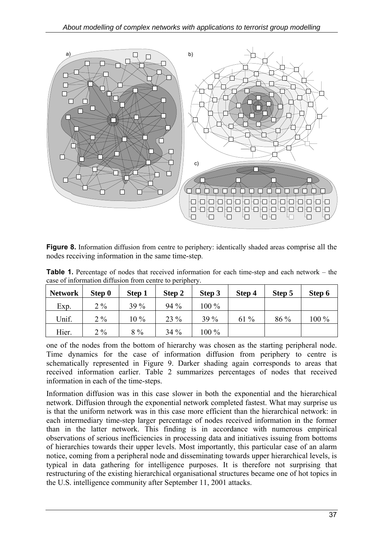

**Figure 8.** Information diffusion from centre to periphery: identically shaded areas comprise all the nodes receiving information in the same time-step.

**Table 1.** Percentage of nodes that received information for each time-step and each network – the case of information diffusion from centre to periphery.

| <b>Network</b> | Step 0 | Step 1 | Step 2 | Step 3  | Step 4 | Step 5 | Step 6 |
|----------------|--------|--------|--------|---------|--------|--------|--------|
| Exp.           | $2\%$  | $39\%$ | 94 %   | 100 %   |        |        |        |
| Unif.          | $2\%$  | $10\%$ | 23 %   | 39%     | $61\%$ | 86 %   | 100 %  |
| Hier.          | $2\%$  | $8\%$  | $34\%$ | $100\%$ |        |        |        |

one of the nodes from the bottom of hierarchy was chosen as the starting peripheral node. Time dynamics for the case of information diffusion from periphery to centre is schematically represented in Figure 9. Darker shading again corresponds to areas that received information earlier. Table 2 summarizes percentages of nodes that received information in each of the time-steps.

Information diffusion was in this case slower in both the exponential and the hierarchical network. Diffusion through the exponential network completed fastest. What may surprise us is that the uniform network was in this case more efficient than the hierarchical network: in each intermediary time-step larger percentage of nodes received information in the former than in the latter network. This finding is in accordance with numerous empirical observations of serious inefficiencies in processing data and initiatives issuing from bottoms of hierarchies towards their upper levels. Most importantly, this particular case of an alarm notice, coming from a peripheral node and disseminating towards upper hierarchical levels, is typical in data gathering for intelligence purposes. It is therefore not surprising that restructuring of the existing hierarchical organisational structures became one of hot topics in the U.S. intelligence community after September 11, 2001 attacks.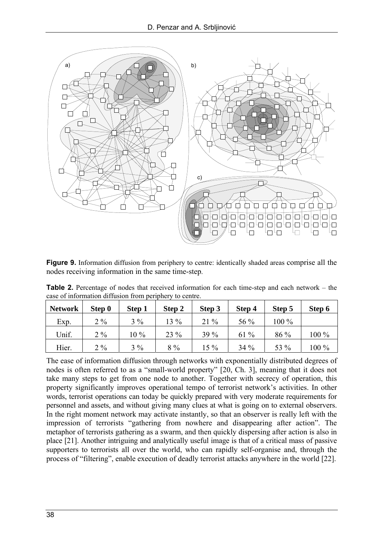

**Figure 9.** Information diffusion from periphery to centre: identically shaded areas comprise all the nodes receiving information in the same time-step.

**Table 2.** Percentage of nodes that received information for each time-step and each network – the case of information diffusion from periphery to centre.

| <b>Network</b> | Step 0 | Step 1 | Step 2 | Step 3 | Step 4 | Step 5  | Step 6 |
|----------------|--------|--------|--------|--------|--------|---------|--------|
| Exp.           | $2\%$  | $3\%$  | $13\%$ | $21\%$ | 56 %   | $100\%$ |        |
| Unif.          | $2\%$  | 10 %   | 23 %   | 39 %   | $61\%$ | $86\%$  | 100 %  |
| Hier.          | $2\%$  | $3\%$  | $8\%$  | $15\%$ | $34\%$ | 53 %    | 100 %  |

The ease of information diffusion through networks with exponentially distributed degrees of nodes is often referred to as a "small-world property" [20, Ch. 3], meaning that it does not take many steps to get from one node to another. Together with secrecy of operation, this property significantly improves operational tempo of terrorist network's activities. In other words, terrorist operations can today be quickly prepared with very moderate requirements for personnel and assets, and without giving many clues at what is going on to external observers. In the right moment network may activate instantly, so that an observer is really left with the impression of terrorists "gathering from nowhere and disappearing after action". The metaphor of terrorists gathering as a swarm, and then quickly dispersing after action is also in place [21]. Another intriguing and analytically useful image is that of a critical mass of passive supporters to terrorists all over the world, who can rapidly self-organise and, through the process of "filtering", enable execution of deadly terrorist attacks anywhere in the world [22].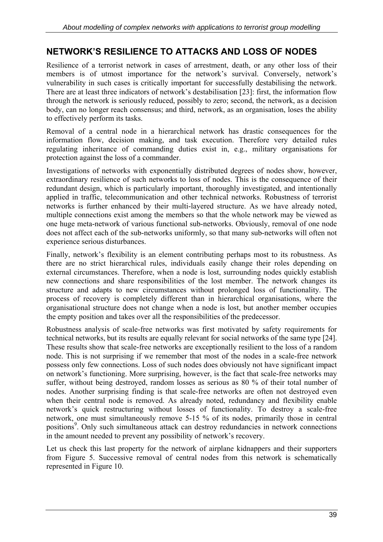# **NETWORK'S RESILIENCE TO ATTACKS AND LOSS OF NODES**

Resilience of a terrorist network in cases of arrestment, death, or any other loss of their members is of utmost importance for the network's survival. Conversely, network's vulnerability in such cases is critically important for successfully destabilising the network. There are at least three indicators of network's destabilisation [23]: first, the information flow through the network is seriously reduced, possibly to zero; second, the network, as a decision body, can no longer reach consensus; and third, network, as an organisation, loses the ability to effectively perform its tasks.

Removal of a central node in a hierarchical network has drastic consequences for the information flow, decision making, and task execution. Therefore very detailed rules regulating inheritance of commanding duties exist in, e.g., military organisations for protection against the loss of a commander.

Investigations of networks with exponentially distributed degrees of nodes show, however, extraordinary resilience of such networks to loss of nodes. This is the consequence of their redundant design, which is particularly important, thoroughly investigated, and intentionally applied in traffic, telecommunication and other technical networks. Robustness of terrorist networks is further enhanced by their multi-layered structure. As we have already noted, multiple connections exist among the members so that the whole network may be viewed as one huge meta-network of various functional sub-networks. Obviously, removal of one node does not affect each of the sub-networks uniformly, so that many sub-networks will often not experience serious disturbances.

Finally, network's flexibility is an element contributing perhaps most to its robustness. As there are no strict hierarchical rules, individuals easily change their roles depending on external circumstances. Therefore, when a node is lost, surrounding nodes quickly establish new connections and share responsibilities of the lost member. The network changes its structure and adapts to new circumstances without prolonged loss of functionality. The process of recovery is completely different than in hierarchical organisations, where the organisational structure does not change when a node is lost, but another member occupies the empty position and takes over all the responsibilities of the predecessor.

Robustness analysis of scale-free networks was first motivated by safety requirements for technical networks, but its results are equally relevant for social networks of the same type [24]. These results show that scale-free networks are exceptionally resilient to the loss of a random node. This is not surprising if we remember that most of the nodes in a scale-free network possess only few connections. Loss of such nodes does obviously not have significant impact on network's functioning. More surprising, however, is the fact that scale-free networks may suffer, without being destroyed, random losses as serious as 80 % of their total number of nodes. Another surprising finding is that scale-free networks are often not destroyed even when their central node is removed. As already noted, redundancy and flexibility enable network's quick restructuring without losses of functionality. To destroy a scale-free network, one must simultaneously remove 5-15 % of its nodes, primarily those in central positions<sup>9</sup>. Only such simultaneous attack can destroy redundancies in network connections in the amount needed to prevent any possibility of network's recovery.

Let us check this last property for the network of airplane kidnappers and their supporters from Figure 5. Successive removal of central nodes from this network is schematically represented in Figure 10.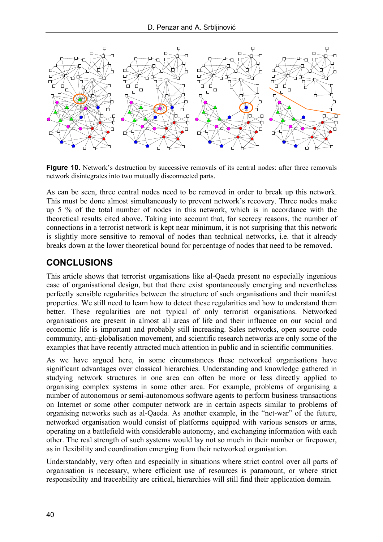

**Figure 10.** Network's destruction by successive removals of its central nodes: after three removals network disintegrates into two mutually disconnected parts.

As can be seen, three central nodes need to be removed in order to break up this network. This must be done almost simultaneously to prevent network's recovery. Three nodes make up 5 % of the total number of nodes in this network, which is in accordance with the theoretical results cited above. Taking into account that, for secrecy reasons, the number of connections in a terrorist network is kept near minimum, it is not surprising that this network is slightly more sensitive to removal of nodes than technical networks, i.e. that it already breaks down at the lower theoretical bound for percentage of nodes that need to be removed.

# **CONCLUSIONS**

This article shows that terrorist organisations like al-Qaeda present no especially ingenious case of organisational design, but that there exist spontaneously emerging and nevertheless perfectly sensible regularities between the structure of such organisations and their manifest properties. We still need to learn how to detect these regularities and how to understand them better. These regularities are not typical of only terrorist organisations. Networked organisations are present in almost all areas of life and their influence on our social and economic life is important and probably still increasing. Sales networks, open source code community, anti-globalisation movement, and scientific research networks are only some of the examples that have recently attracted much attention in public and in scientific communities.

As we have argued here, in some circumstances these networked organisations have significant advantages over classical hierarchies. Understanding and knowledge gathered in studying network structures in one area can often be more or less directly applied to organising complex systems in some other area. For example, problems of organising a number of autonomous or semi-autonomous software agents to perform business transactions on Internet or some other computer network are in certain aspects similar to problems of organising networks such as al-Qaeda. As another example, in the "net-war" of the future, networked organisation would consist of platforms equipped with various sensors or arms, operating on a battlefield with considerable autonomy, and exchanging information with each other. The real strength of such systems would lay not so much in their number or firepower, as in flexibility and coordination emerging from their networked organisation.

Understandably, very often and especially in situations where strict control over all parts of organisation is necessary, where efficient use of resources is paramount, or where strict responsibility and traceability are critical, hierarchies will still find their application domain.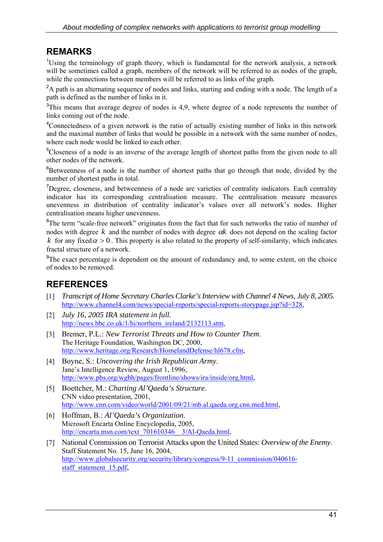#### **REMARKS**

<sup>1</sup>Using the terminology of graph theory, which is fundamental for the network analysis, a network will be sometimes called a graph, members of the network will be referred to as nodes of the graph, while the connections between members will be referred to as links of the graph.

<sup>2</sup>A path is an alternating sequence of nodes and links, starting and ending with a node. The length of a path is defined as the number of links in it.

 $3$ This means that average degree of nodes is 4,9, where degree of a node represents the number of links coming out of the node.

<sup>4</sup>Connectedness of a given network is the ratio of actually existing number of links in this network and the maximal number of links that would be possible in a network with the same number of nodes, where each node would be linked to each other.

<sup>5</sup>Closeness of a node is an inverse of the average length of shortest paths from the given node to all other nodes of the network.

<sup>6</sup>Betweenness of a node is the number of shortest paths that go through that node, divided by the number of shortest paths in total.

<sup>7</sup>Degree, closeness, and betweenness of a node are varieties of centrality indicators. Each centrality indicator has its corresponding centralisation measure. The centralisation measure measures unevenness in distribution of centrality indicator's values over all network's nodes. Higher centralisation means higher unevenness.

<sup>8</sup>The term "scale-free network" originates from the fact that for such networks the ratio of number of nodes with degree *k* and the number of nodes with degree α*k* does not depend on the scaling factor *k* for any fixed  $\alpha > 0$ . This property is also related to the property of self-similarity, which indicates fractal structure of a network.

<sup>9</sup>The exact percentage is dependent on the amount of redundancy and, to some extent, on the choice of nodes to be removed.

# **REFERENCES**

- [1] *Transcript of Home Secretary Charles Clarke's Interview with Channel 4 News, July 8, 2005.* [http://www.channel4.com/news/special-reports/special-reports-storypage.jsp?id=328,](http://www.channel4.com/news/special-reports/special-reports-storypage.jsp?id=328)
- [2] *July 16, 2005 IRA statement in full.* [http://news.bbc.co.uk/1/hi/northern\\_ireland/2132113.stm,](http://news.bbc.co.uk/1/hi/northern_ireland/2132113.stm)
- [3] Bremer, P.L.: *New Terrorist Threats and How to Counter Them*. The Heritage Foundation, Washington DC, 2000, [http://www.heritage.org/Research/HomelandDefense/hl678.cfm,](http://www.heritage.org/Research/HomelandDefense/hl678.cfm)
- [4] Boyne, S.: *Uncovering the Irish Republican Army*. Jane's Intelligence Review, August 1, 1996, [http://www.pbs.org/wgbh/pages/frontline/shows/ira/inside/org.html,](http://www.pbs.org/wgbh/pages/frontline/shows/ira/inside/org.html)
- [5] Boettcher, M.: *Charting Al'Qaeda's Structure*. CNN video presentation, 2001, [http://www.cnn.com/video/world/2001/09/21/mb.al.qaeda.org.cnn.med.html,](http://www.cnn.com/video/world/2001/09/21/mb.al.qaeda.org.cnn.med.html)
- [6] Hoffman, B.: *Al'Qaeda's Organization*. Microsoft Encarta Online Encyclopedia, 2005, [http://encarta.msn.com/text\\_701610346\\_\\_3/Al-Qaeda.html,](http://encarta.msn.com/text_701610346__3/Al-Qaeda.html)
- [7] National Commission on Terrorist Attacks upon the United States: *Overview of the Enemy*. Staff Statement No. 15, June 16, 2004, [http://www.globalsecurity.org/security/library/congress/9-11\\_commission/040616](http://www.globalsecurity.org/security/library/congress/9-11_commission/040616-) staff\_statement\_15.pdf,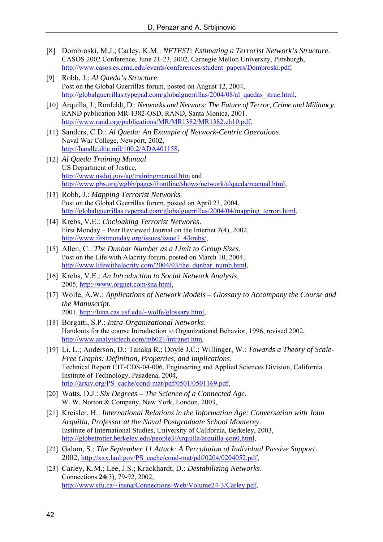- [8] Dombroski, M.J.; Carley, K.M.: *NETEST: Estimating a Terrorist Network's Structure*. CASOS 2002 Conference, June 21-23, 2002. Carnegie Mellon University, Pittsburgh, [http://www.casos.cs.cmu.edu/events/conferences/student\\_papers/Dombroski.pdf,](http://www.casos.cs.cmu.edu/events/conferences/student_papers/Dombroski.pdf)
- [9] Robb, J.: *Al Qaeda's Structure*. Post on the Global Guerrillas forum, posted on August 12, 2004, [http://globalguerrillas.typepad.com/globalguerrillas/2004/08/al\\_qaedas\\_struc.html,](http://globalguerrillas.typepad.com/globalguerrillas/2004/08/al_qaedas_struc.html)
- [10] Arquilla, J.; Ronfeldt, D.: *Networks and Netwars: The Future of Terror, Crime and Militancy*. RAND publication MR-1382-OSD, RAND, Santa Monica, 2001, [http://www.rand.org/publications/MR/MR1382/MR1382.ch10.pdf,](http://www.rand.org/publications/MR/MR1382/MR1382.ch10.pdf)
- [11] Sanders, C.D.: *Al Qaeda: An Example of Network-Centric Operations*. Naval War College, Newport, 2002, [http://handle.dtic.mil/100.2/ADA401158,](http://handle.dtic.mil/100.2/ADA401158)
- [12] *Al Qaeda Training Manual*. US Department of Justice, <http://www.usdoj.gov/ag/trainingmanual.htm>and [http://www.pbs.org/wgbh/pages/frontline/shows/network/alqaeda/manual.html,](http://www.pbs.org/wgbh/pages/frontline/shows/network/alqaeda/manual.html)
- [13] Robb, J.: *Mapping Terrorist Networks*. Post on the Global Guerrillas forum, posted on April 23, 2004, [http://globalguerrillas.typepad.com/globalguerrillas/2004/04/mapping\\_terrori.html,](http://globalguerrillas.typepad.com/globalguerrillas/2004/04/mapping_terrori.html)
- [14] Krebs, V.E.: *Uncloaking Terrorist Networks*. First Monday – Peer Reviewed Journal on the Internet **7**(4), 2002, [http://www.firstmonday.org/issues/issue7\\_4/krebs/,](http://www.firstmonday.org/issues/issue7_4/krebs/)
- [15] Allen, C.: *The Dunbar Number as a Limit to Group Sizes*. Post on the Life with Alacrity forum, posted on March 10, 2004, http://www.lifewithalacrity.com/2004/03/the\_dunbar\_numb.html,
- [16] Krebs, V.E.: *An Introduction to Social Network Analysis*. 2005, [http://www.orgnet.com/sna.html,](http://www.orgnet.com/sna.html)
- [17] Wolfe, A.W.: *Applications of Network Models Glossary to Accompany the Course and the Manuscript*. 2001, [http://luna.cas.usf.edu/~wolfe/glossary.html,](http://luna.cas.usf.edu/~wolfe/glossary.html)
- [18] Borgatti, S.P.: *Intra-Organizational Networks*. Handouts for the course Introduction to Organizational Behavior, 1996, revised 2002, [http://www.analytictech.com/mb021/intranet.htm,](http://www.analytictech.com/mb021/intranet.htm)
- [19] Li, L.; Anderson, D.; Tanaka R.; Doyle J.C.; Willinger, W.: *Towards a Theory of Scale-Free Graphs: Definition, Properties, and Implications*. Technical Report CIT-CDS-04-006, Engineering and Applied Sciences Division, California Institute of Technology, Pasadena, 2004, [http://arxiv.org/PS\\_cache/cond-mat/pdf/0501/0501169.pdf,](http://arxiv.org/PS_cache/cond-mat/pdf/0501/0501169.pdf)
- [20] Watts, D.J.: *Six Degrees The Science of a Connected Age*. W. W. Norton & Company, New York, London, 2003,
- [21] Kreisler, H.: *International Relations in the Information Age: Conversation with John Arquilla, Professor at the Naval Postgraduate School Monterey*. Institute of International Studies, University of California, Berkeley, 2003, [http://globetrotter.berkeley.edu/people3/Arquilla/arquilla-con0.html,](http://globetrotter.berkeley.edu/people3/Arquilla/arquilla-con0.html)
- [22] Galam, S.: *The September 11 Attack: A Percolation of Individual Passive Support*. 2002, [http://xxx.lanl.gov/PS\\_cache/cond-mat/pdf/0204/0204052.pdf,](http://xxx.lanl.gov/PS_cache/cond-mat/pdf/0204/0204052.pdf)
- [23] Carley, K.M.; Lee, J.S.; Krackhardt, D.: *Destabilizing Networks*. Connections **24**(3), 79-92, 2002, [http://www.sfu.ca/~insna/Connections-Web/Volume24-3/Carley.pdf,](http://www.sfu.ca/~insna/Connections-Web/Volume24-3/Carley.pdf)